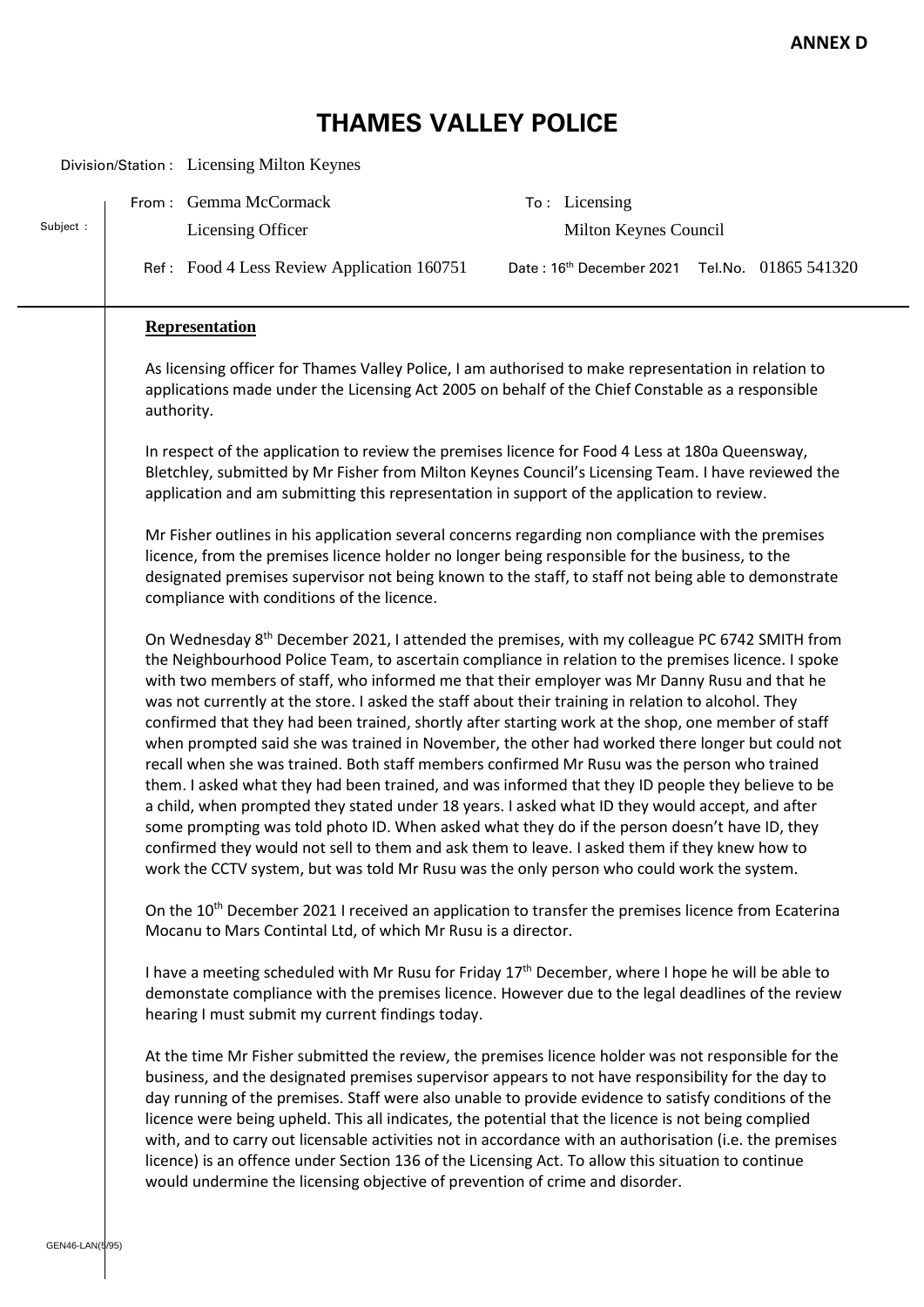## **THAMES VALLEY POLICE**

|                 |                                                                                                                                                                                                                                                                                                                                                                                                                                                                                                                                                                                                                                                                                                                                                                                                                                                                                           | Division/Station : Licensing Milton Keynes                                   |                                                                                                                                                                                                                                                                                                                                                                                                                                                                                                                                                                                                                                                                                                                                                                                                                                                                                                                                                                                                                                                                                                                                                                                                                                         |  |  |
|-----------------|-------------------------------------------------------------------------------------------------------------------------------------------------------------------------------------------------------------------------------------------------------------------------------------------------------------------------------------------------------------------------------------------------------------------------------------------------------------------------------------------------------------------------------------------------------------------------------------------------------------------------------------------------------------------------------------------------------------------------------------------------------------------------------------------------------------------------------------------------------------------------------------------|------------------------------------------------------------------------------|-----------------------------------------------------------------------------------------------------------------------------------------------------------------------------------------------------------------------------------------------------------------------------------------------------------------------------------------------------------------------------------------------------------------------------------------------------------------------------------------------------------------------------------------------------------------------------------------------------------------------------------------------------------------------------------------------------------------------------------------------------------------------------------------------------------------------------------------------------------------------------------------------------------------------------------------------------------------------------------------------------------------------------------------------------------------------------------------------------------------------------------------------------------------------------------------------------------------------------------------|--|--|
|                 |                                                                                                                                                                                                                                                                                                                                                                                                                                                                                                                                                                                                                                                                                                                                                                                                                                                                                           | From: Gemma McCormack                                                        | To: Licensing                                                                                                                                                                                                                                                                                                                                                                                                                                                                                                                                                                                                                                                                                                                                                                                                                                                                                                                                                                                                                                                                                                                                                                                                                           |  |  |
| Subject:        |                                                                                                                                                                                                                                                                                                                                                                                                                                                                                                                                                                                                                                                                                                                                                                                                                                                                                           | Licensing Officer                                                            | Milton Keynes Council                                                                                                                                                                                                                                                                                                                                                                                                                                                                                                                                                                                                                                                                                                                                                                                                                                                                                                                                                                                                                                                                                                                                                                                                                   |  |  |
|                 |                                                                                                                                                                                                                                                                                                                                                                                                                                                                                                                                                                                                                                                                                                                                                                                                                                                                                           | Ref: Food 4 Less Review Application 160751                                   | Date: 16th December 2021<br>Tel.No. 01865 541320                                                                                                                                                                                                                                                                                                                                                                                                                                                                                                                                                                                                                                                                                                                                                                                                                                                                                                                                                                                                                                                                                                                                                                                        |  |  |
|                 |                                                                                                                                                                                                                                                                                                                                                                                                                                                                                                                                                                                                                                                                                                                                                                                                                                                                                           | <b>Representation</b>                                                        |                                                                                                                                                                                                                                                                                                                                                                                                                                                                                                                                                                                                                                                                                                                                                                                                                                                                                                                                                                                                                                                                                                                                                                                                                                         |  |  |
|                 | As licensing officer for Thames Valley Police, I am authorised to make representation in relation to<br>applications made under the Licensing Act 2005 on behalf of the Chief Constable as a responsible<br>authority.<br>In respect of the application to review the premises licence for Food 4 Less at 180a Queensway,<br>Bletchley, submitted by Mr Fisher from Milton Keynes Council's Licensing Team. I have reviewed the<br>application and am submitting this representation in support of the application to review.<br>Mr Fisher outlines in his application several concerns regarding non compliance with the premises<br>licence, from the premises licence holder no longer being responsible for the business, to the<br>designated premises supervisor not being known to the staff, to staff not being able to demonstrate<br>compliance with conditions of the licence. |                                                                              |                                                                                                                                                                                                                                                                                                                                                                                                                                                                                                                                                                                                                                                                                                                                                                                                                                                                                                                                                                                                                                                                                                                                                                                                                                         |  |  |
|                 |                                                                                                                                                                                                                                                                                                                                                                                                                                                                                                                                                                                                                                                                                                                                                                                                                                                                                           |                                                                              |                                                                                                                                                                                                                                                                                                                                                                                                                                                                                                                                                                                                                                                                                                                                                                                                                                                                                                                                                                                                                                                                                                                                                                                                                                         |  |  |
|                 |                                                                                                                                                                                                                                                                                                                                                                                                                                                                                                                                                                                                                                                                                                                                                                                                                                                                                           |                                                                              |                                                                                                                                                                                                                                                                                                                                                                                                                                                                                                                                                                                                                                                                                                                                                                                                                                                                                                                                                                                                                                                                                                                                                                                                                                         |  |  |
|                 |                                                                                                                                                                                                                                                                                                                                                                                                                                                                                                                                                                                                                                                                                                                                                                                                                                                                                           |                                                                              | On Wednesday 8 <sup>th</sup> December 2021, I attended the premises, with my colleague PC 6742 SMITH from<br>the Neighbourhood Police Team, to ascertain compliance in relation to the premises licence. I spoke<br>with two members of staff, who informed me that their employer was Mr Danny Rusu and that he<br>was not currently at the store. I asked the staff about their training in relation to alcohol. They<br>confirmed that they had been trained, shortly after starting work at the shop, one member of staff<br>when prompted said she was trained in November, the other had worked there longer but could not<br>recall when she was trained. Both staff members confirmed Mr Rusu was the person who trained<br>them. I asked what they had been trained, and was informed that they ID people they believe to be<br>a child, when prompted they stated under 18 years. I asked what ID they would accept, and after<br>some prompting was told photo ID. When asked what they do if the person doesn't have ID, they<br>confirmed they would not sell to them and ask them to leave. I asked them if they knew how to<br>work the CCTV system, but was told Mr Rusu was the only person who could work the system. |  |  |
|                 |                                                                                                                                                                                                                                                                                                                                                                                                                                                                                                                                                                                                                                                                                                                                                                                                                                                                                           | Mocanu to Mars Contintal Ltd, of which Mr Rusu is a director.                | On the 10 <sup>th</sup> December 2021 I received an application to transfer the premises licence from Ecaterina                                                                                                                                                                                                                                                                                                                                                                                                                                                                                                                                                                                                                                                                                                                                                                                                                                                                                                                                                                                                                                                                                                                         |  |  |
|                 |                                                                                                                                                                                                                                                                                                                                                                                                                                                                                                                                                                                                                                                                                                                                                                                                                                                                                           | hearing I must submit my current findings today.                             | I have a meeting scheduled with Mr Rusu for Friday 17 <sup>th</sup> December, where I hope he will be able to<br>demonstate compliance with the premises licence. However due to the legal deadlines of the review                                                                                                                                                                                                                                                                                                                                                                                                                                                                                                                                                                                                                                                                                                                                                                                                                                                                                                                                                                                                                      |  |  |
|                 |                                                                                                                                                                                                                                                                                                                                                                                                                                                                                                                                                                                                                                                                                                                                                                                                                                                                                           | would undermine the licensing objective of prevention of crime and disorder. | At the time Mr Fisher submitted the review, the premises licence holder was not responsible for the<br>business, and the designated premises supervisor appears to not have responsibility for the day to<br>day running of the premises. Staff were also unable to provide evidence to satisfy conditions of the<br>licence were being upheld. This all indicates, the potential that the licence is not being complied<br>with, and to carry out licensable activities not in accordance with an authorisation (i.e. the premises<br>licence) is an offence under Section 136 of the Licensing Act. To allow this situation to continue                                                                                                                                                                                                                                                                                                                                                                                                                                                                                                                                                                                               |  |  |
| GEN46-LAN(5/95) |                                                                                                                                                                                                                                                                                                                                                                                                                                                                                                                                                                                                                                                                                                                                                                                                                                                                                           |                                                                              |                                                                                                                                                                                                                                                                                                                                                                                                                                                                                                                                                                                                                                                                                                                                                                                                                                                                                                                                                                                                                                                                                                                                                                                                                                         |  |  |